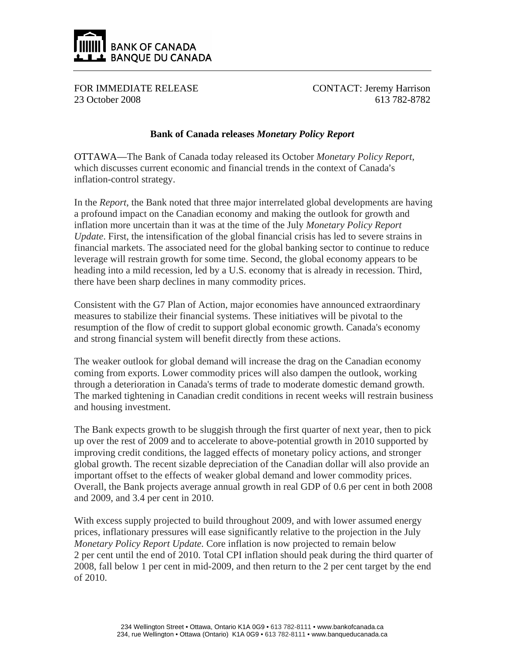

FOR IMMEDIATE RELEASE 23 October 2008

CONTACT: Jeremy Harrison 613 782-8782

## **Bank of Canada releases** *Monetary Policy Report*

OTTAWA—The Bank of Canada today released its October *Monetary Policy Report*, which discusses current economic and financial trends in the context of Canada's inflation-control strategy.

In the *Report*, the Bank noted that three major interrelated global developments are having a profound impact on the Canadian economy and making the outlook for growth and inflation more uncertain than it was at the time of the July *Monetary Policy Report Update*. First, the intensification of the global financial crisis has led to severe strains in financial markets. The associated need for the global banking sector to continue to reduce leverage will restrain growth for some time. Second, the global economy appears to be heading into a mild recession, led by a U.S. economy that is already in recession. Third, there have been sharp declines in many commodity prices.

Consistent with the G7 Plan of Action, major economies have announced extraordinary measures to stabilize their financial systems. These initiatives will be pivotal to the resumption of the flow of credit to support global economic growth. Canada's economy and strong financial system will benefit directly from these actions.

The weaker outlook for global demand will increase the drag on the Canadian economy coming from exports. Lower commodity prices will also dampen the outlook, working through a deterioration in Canada's terms of trade to moderate domestic demand growth. The marked tightening in Canadian credit conditions in recent weeks will restrain business and housing investment.

The Bank expects growth to be sluggish through the first quarter of next year, then to pick up over the rest of 2009 and to accelerate to above-potential growth in 2010 supported by improving credit conditions, the lagged effects of monetary policy actions, and stronger global growth. The recent sizable depreciation of the Canadian dollar will also provide an important offset to the effects of weaker global demand and lower commodity prices. Overall, the Bank projects average annual growth in real GDP of 0.6 per cent in both 2008 and 2009, and 3.4 per cent in 2010.

With excess supply projected to build throughout 2009, and with lower assumed energy prices, inflationary pressures will ease significantly relative to the projection in the July *Monetary Policy Report Update.* Core inflation is now projected to remain below 2 per cent until the end of 2010. Total CPI inflation should peak during the third quarter of 2008, fall below 1 per cent in mid-2009, and then return to the 2 per cent target by the end of 2010.